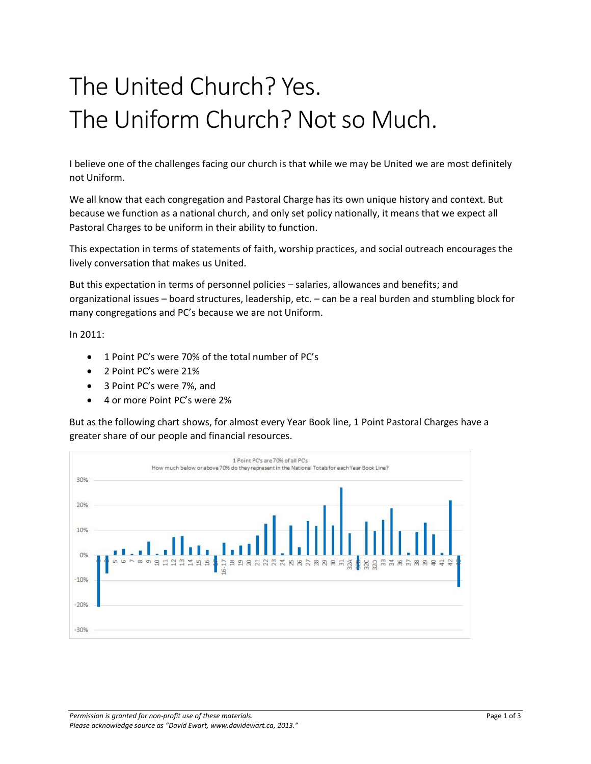## The United Church? Yes. The Uniform Church? Not so Much.

I believe one of the challenges facing our church is that while we may be United we are most definitely not Uniform.

We all know that each congregation and Pastoral Charge has its own unique history and context. But because we function as a national church, and only set policy nationally, it means that we expect all Pastoral Charges to be uniform in their ability to function.

This expectation in terms of statements of faith, worship practices, and social outreach encourages the lively conversation that makes us United.

But this expectation in terms of personnel policies – salaries, allowances and benefits; and organizational issues – board structures, leadership, etc. – can be a real burden and stumbling block for many congregations and PC's because we are not Uniform.

In 2011:

- 1 Point PC's were 70% of the total number of PC's
- 2 Point PC's were 21%
- 3 Point PC's were 7%, and
- 4 or more Point PC's were 2%

But as the following chart shows, for almost every Year Book line, 1 Point Pastoral Charges have a greater share of our people and financial resources.

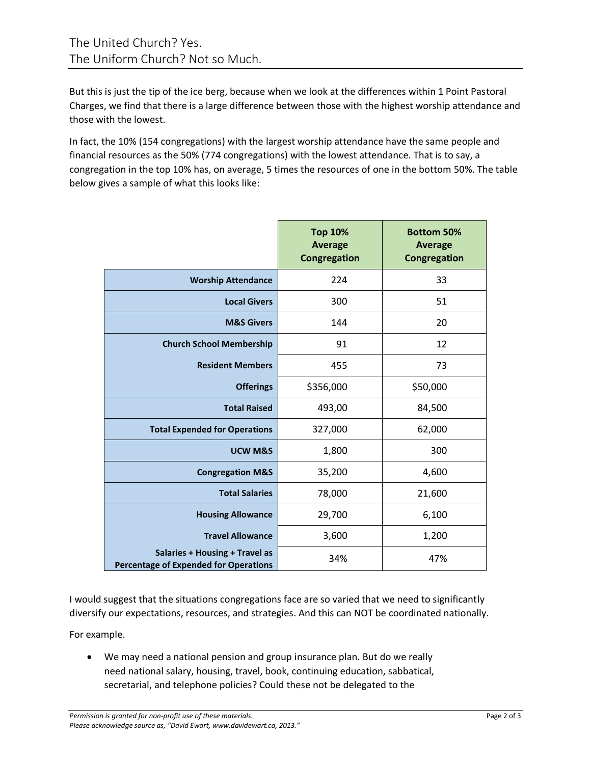But this is just the tip of the ice berg, because when we look at the differences within 1 Point Pastoral Charges, we find that there is a large difference between those with the highest worship attendance and those with the lowest.

In fact, the 10% (154 congregations) with the largest worship attendance have the same people and financial resources as the 50% (774 congregations) with the lowest attendance. That is to say, a congregation in the top 10% has, on average, 5 times the resources of one in the bottom 50%. The table below gives a sample of what this looks like:

|                                                                                | <b>Top 10%</b><br><b>Average</b><br>Congregation | <b>Bottom 50%</b><br><b>Average</b><br>Congregation |
|--------------------------------------------------------------------------------|--------------------------------------------------|-----------------------------------------------------|
| <b>Worship Attendance</b>                                                      | 224                                              | 33                                                  |
| <b>Local Givers</b>                                                            | 300                                              | 51                                                  |
| <b>M&amp;S Givers</b>                                                          | 144                                              | 20                                                  |
| <b>Church School Membership</b>                                                | 91                                               | 12                                                  |
| <b>Resident Members</b>                                                        | 455                                              | 73                                                  |
| <b>Offerings</b>                                                               | \$356,000                                        | \$50,000                                            |
| <b>Total Raised</b>                                                            | 493,00                                           | 84,500                                              |
| <b>Total Expended for Operations</b>                                           | 327,000                                          | 62,000                                              |
| <b>UCW M&amp;S</b>                                                             | 1,800                                            | 300                                                 |
| <b>Congregation M&amp;S</b>                                                    | 35,200                                           | 4,600                                               |
| <b>Total Salaries</b>                                                          | 78,000                                           | 21,600                                              |
| <b>Housing Allowance</b>                                                       | 29,700                                           | 6,100                                               |
| <b>Travel Allowance</b>                                                        | 3,600                                            | 1,200                                               |
| Salaries + Housing + Travel as<br><b>Percentage of Expended for Operations</b> | 34%                                              | 47%                                                 |

I would suggest that the situations congregations face are so varied that we need to significantly diversify our expectations, resources, and strategies. And this can NOT be coordinated nationally.

For example.

 We may need a national pension and group insurance plan. But do we really need national salary, housing, travel, book, continuing education, sabbatical, secretarial, and telephone policies? Could these not be delegated to the